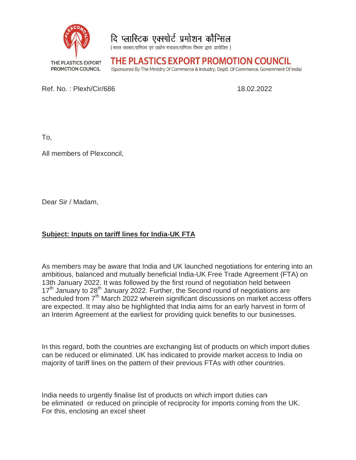



(भारत सरकार,वाणिज्य एवं उद्योग मंत्रालय,वाणिज्य विभाग द्धारा प्रायोजित)

THE PLASTICS EXPORT PROMOTION COUNCIL

(Sponsored By The Ministry Of Commerce & Industry, Deptt. Of Commerce, Government Of India)

Ref. No. : Plexh/Cir/686 Ref. No.: Plexh/Cir/686

18.02.2022

To,

All members of Plexconcil, Plexconcil,

Dear Sir / Madam,

## **Subject: Inputs on tariff lines for India India-UK FTA**

As members may be aware that India and UK launched negotiations for entering into an ambitious, balanced and mutually beneficial India-UK Free Trade Agreement (FTA) on 13th January 2022. It was followed by the first round of negotiation held between 17<sup>th</sup> January to 28<sup>th</sup> January 2022. Further, the Second round of negotiations are scheduled from 7<sup>th</sup> March 2022 wherein significant discussions on market access offers are expected. It may also be highlighted that India aims for an early harvest in form of an Interim Agreement at the earliest for providing quick benefits to our businesses. Plexh/Cir/686 **and Mutually 19**<br>Plexconcil,<br>Plexconcil,<br>Plexand Madam,<br>puts on tariff lines for India-UK FTA<br>and mutually beneficial India-UK Free Trade Agreement (FTA) on<br>pay 2022. It was followed by the frist round of ne 18.02.2022<br> **JK FTA**<br>
UK launched negotiations for entering into a<br>
al India-UK Free Trade Agreement (FTA) on<br>
first round of negotiation held between<br>
.; the Second round of negotiations are<br>
gnificant discussions on mark

In this regard, both the countries are exchanging list of products on which import duties can be reduced or eliminated. UK h has indicated to provide market access to India on majority of tariff lines on the pattern of their previous FTAs with other countries. It may also be highlighted that India aims for an early harvest in form of<br>eement at the earliest for providing quick benefits to our businesses.<br>both the countries are exchanging list of products on which import duties<br>d as indicated to provide market access to India on<br>of their previous FTAs with other countries.<br>of products on which import duties can<br>ble of reciprocity for imports coming from the UK.

India needs to urgently finalise list of products on which import duties can India needs to urgently finalise list of products on which import duties can<br>be eliminated or reduced on principle of reciprocity for imports coming from the UK. For this, enclosing an excel sheet